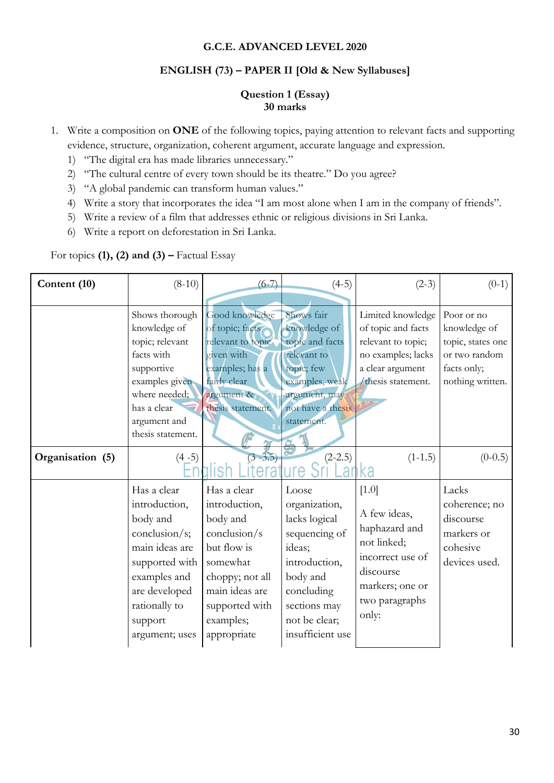#### **G.C.E. ADVANCED LEVEL 2020**

#### **ENGLISH (73) – PAPER II [Old & New Syllabuses]**

#### **Question 1 (Essay) 30 marks**

- 1. Write a composition on **ONE** of the following topics, paying attention to relevant facts and supporting evidence, structure, organization, coherent argument, accurate language and expression.
	- 1) "The digital era has made libraries unnecessary."
	- 2) "The cultural centre of every town should be its theatre." Do you agree?
	- 3) "A global pandemic can transform human values."
	- 4) Write a story that incorporates the idea "I am most alone when I am in the company of friends".
	- 5) Write a review of a film that addresses ethnic or religious divisions in Sri Lanka.
	- 6) Write a report on deforestation in Sri Lanka.

For topics **(1), (2) and <b>(3)** – Factual Essay

| Content (10)     | $(8-10)$                                                                                                                                                                     | $(6-7)$                                                                                                                                                                | $(4-5)$                                                                                                                                                            | $(2-3)$                                                                                                                                | $(0-1)$                                                                                             |
|------------------|------------------------------------------------------------------------------------------------------------------------------------------------------------------------------|------------------------------------------------------------------------------------------------------------------------------------------------------------------------|--------------------------------------------------------------------------------------------------------------------------------------------------------------------|----------------------------------------------------------------------------------------------------------------------------------------|-----------------------------------------------------------------------------------------------------|
|                  | Shows thorough<br>knowledge of<br>topic; relevant<br>facts with<br>supportive<br>examples given<br>where needed;<br>has a clear<br>argument and<br>thesis statement.         | Good knowledge<br>of topic; facts<br>relevant to topic<br>given with<br>examples; has a<br>fairly clear<br>argument &<br>thesis statement.                             | Shows fair<br>knowledge of<br>topic and facts<br>relevant to<br>topic; few<br>examples, weak<br>argument, may<br>not have a thesis<br>statement.                   | Limited knowledge<br>of topic and facts<br>relevant to topic;<br>no examples; lacks<br>a clear argument<br>thesis statement.           | Poor or no<br>knowledge of<br>topic, states one<br>or two random<br>facts only;<br>nothing written. |
| Organisation (5) | $(4-5)$                                                                                                                                                                      | $(3 - 3.5)$                                                                                                                                                            | $(2-2.5)$                                                                                                                                                          | $(1-1.5)$<br>ka                                                                                                                        | $(0-0.5)$                                                                                           |
|                  | Has a clear<br>introduction,<br>body and<br>conclusion/s;<br>main ideas are<br>supported with<br>examples and<br>are developed<br>rationally to<br>support<br>argument; uses | Has a clear<br>introduction,<br>body and<br>conclusion/s<br>but flow is<br>somewhat<br>choppy; not all<br>main ideas are<br>supported with<br>examples;<br>appropriate | Loose<br>organization,<br>lacks logical<br>sequencing of<br>ideas;<br>introduction,<br>body and<br>concluding<br>sections may<br>not be clear;<br>insufficient use | $[1.0]$<br>A few ideas,<br>haphazard and<br>not linked;<br>incorrect use of<br>discourse<br>markers; one or<br>two paragraphs<br>only: | Lacks<br>coherence; no<br>discourse<br>markers or<br>cohesive<br>devices used.                      |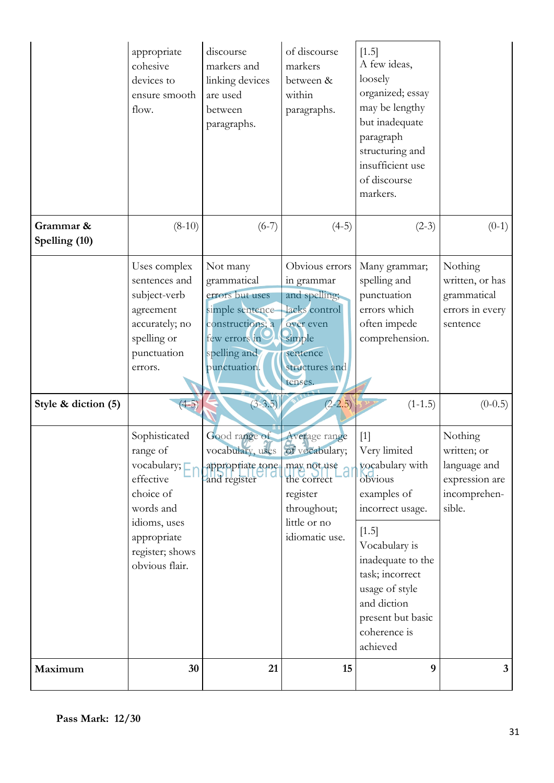|                            |                                                                                                                                                               |                                                                                                                                    |                                                                                                                                | usage of style<br>and diction<br>present but basic<br>coherence is<br>achieved                                                                                                        |                                                                                    |
|----------------------------|---------------------------------------------------------------------------------------------------------------------------------------------------------------|------------------------------------------------------------------------------------------------------------------------------------|--------------------------------------------------------------------------------------------------------------------------------|---------------------------------------------------------------------------------------------------------------------------------------------------------------------------------------|------------------------------------------------------------------------------------|
|                            | Sophisticated<br>range of<br>vocabulary; $\square$<br>effective<br>choice of<br>words and<br>idioms, uses<br>appropriate<br>register; shows<br>obvious flair. | Good range of<br>vocabulary, uses of vocabulary;<br>appropriate tone.<br>and register                                              | Average range<br>may not use<br>the correct<br>register<br>throughout;<br>little or no<br>idiomatic use.                       | $[1]$<br>Very limited<br>vocabulary with<br>obvious<br>examples of<br>incorrect usage.<br>$[1.5]$<br>Vocabulary is<br>inadequate to the<br>task; incorrect                            | Nothing<br>written; or<br>language and<br>expression are<br>incomprehen-<br>sible. |
| Style & diction (5)        | $(4-5)$                                                                                                                                                       | $(3 - 3.5)$                                                                                                                        | $(2-2.5)$                                                                                                                      | $(1-1.5)$                                                                                                                                                                             | $(0-0.5)$                                                                          |
|                            | Uses complex<br>sentences and<br>subject-verb<br>agreement<br>accurately; no<br>spelling or<br>punctuation<br>errors.                                         | Not many<br>grammatical<br>errors but uses<br>simple sentence<br>constructions; a<br>few errors in<br>spelling and<br>punctuation. | Obvious errors<br>in grammar<br>and spelling;<br>lacks control<br>over even<br>simple<br>sentence<br>structures and<br>tenses. | Many grammar;<br>spelling and<br>punctuation<br>errors which<br>often impede<br>comprehension.                                                                                        | Nothing<br>written, or has<br>grammatical<br>errors in every<br>sentence           |
| Grammar &<br>Spelling (10) | appropriate<br>cohesive<br>devices to<br>ensure smooth<br>flow.<br>$(8-10)$                                                                                   | discourse<br>markers and<br>linking devices<br>are used<br>between<br>paragraphs.<br>$(6-7)$                                       | of discourse<br>markers<br>between &<br>within<br>paragraphs.<br>$(4-5)$                                                       | $[1.5]$<br>A few ideas,<br>loosely<br>organized; essay<br>may be lengthy<br>but inadequate<br>paragraph<br>structuring and<br>insufficient use<br>of discourse<br>markers.<br>$(2-3)$ | $(0-1)$                                                                            |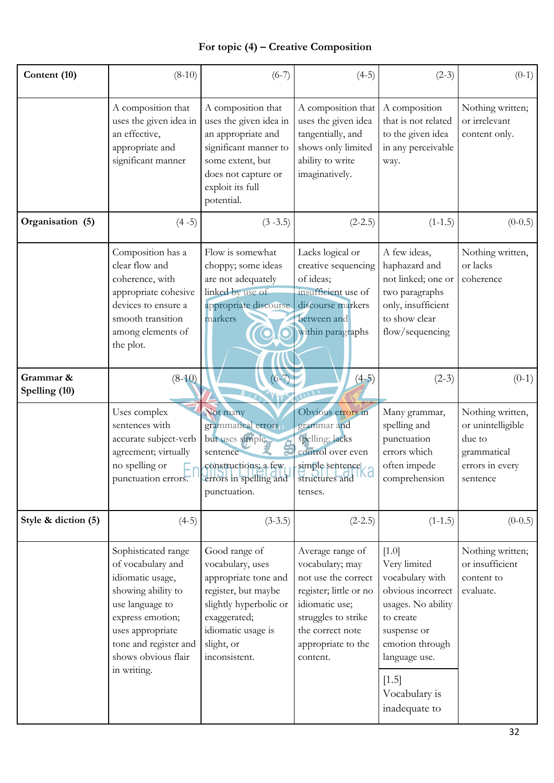## **For topic (4) – Creative Composition**

| Content (10)               | $(8-10)$                                                                                                                                                                                                     | $(6-7)$                                                                                                                                                                         | $(4-5)$                                                                                                                                                                             | $(2-3)$                                                                                                                                                                                          | $(0-1)$                                                                                       |
|----------------------------|--------------------------------------------------------------------------------------------------------------------------------------------------------------------------------------------------------------|---------------------------------------------------------------------------------------------------------------------------------------------------------------------------------|-------------------------------------------------------------------------------------------------------------------------------------------------------------------------------------|--------------------------------------------------------------------------------------------------------------------------------------------------------------------------------------------------|-----------------------------------------------------------------------------------------------|
|                            | A composition that<br>uses the given idea in<br>an effective,<br>appropriate and<br>significant manner                                                                                                       | A composition that<br>uses the given idea in<br>an appropriate and<br>significant manner to<br>some extent, but<br>does not capture or<br>exploit its full<br>potential.        | A composition that<br>uses the given idea<br>tangentially, and<br>shows only limited<br>ability to write<br>imaginatively.                                                          | A composition<br>that is not related<br>to the given idea<br>in any perceivable<br>way.                                                                                                          | Nothing written;<br>or irrelevant<br>content only.                                            |
| Organisation (5)           | $(4-5)$                                                                                                                                                                                                      | $(3 - 3.5)$                                                                                                                                                                     | $(2-2.5)$                                                                                                                                                                           | $(1-1.5)$                                                                                                                                                                                        | $(0-0.5)$                                                                                     |
|                            | Composition has a<br>clear flow and<br>coherence, with<br>appropriate cohesive<br>devices to ensure a<br>smooth transition<br>among elements of<br>the plot.                                                 | Flow is somewhat<br>choppy; some ideas<br>are not adequately<br>linked by use of<br>appropriate discourse<br>markers                                                            | Lacks logical or<br>creative sequencing<br>of ideas;<br>insufficient use of<br>discourse markers<br>between and<br>within paragraphs                                                | A few ideas,<br>haphazard and<br>not linked; one or<br>two paragraphs<br>only, insufficient<br>to show clear<br>flow/sequencing                                                                  | Nothing written,<br>or lacks<br>coherence                                                     |
| Grammar &<br>Spelling (10) | $(8-10)$                                                                                                                                                                                                     | $(6 - 7)$                                                                                                                                                                       | $(4-5)$                                                                                                                                                                             | $(2-3)$                                                                                                                                                                                          | $(0-1)$                                                                                       |
|                            | Uses complex<br>sentences with<br>accurate subject-verb<br>agreement; virtually<br>no spelling or<br>punctuation errors.                                                                                     | Not many<br>grammatical errors<br>but uses simple<br>sentence<br>constructions; a few<br>errors in spelling and<br>punctuation.                                                 | Obvious errors in<br>grammar and<br>spelling; lacks<br>control over even<br>simple sentence<br>structures and<br>tenses.                                                            | Many grammar,<br>spelling and<br>punctuation<br>errors which<br>often impede<br>comprehension                                                                                                    | Nothing written,<br>or unintelligible<br>due to<br>grammatical<br>errors in every<br>sentence |
| Style & diction (5)        | $(4-5)$                                                                                                                                                                                                      | $(3-3.5)$                                                                                                                                                                       | $(2-2.5)$                                                                                                                                                                           | $(1-1.5)$                                                                                                                                                                                        | $(0-0.5)$                                                                                     |
|                            | Sophisticated range<br>of vocabulary and<br>idiomatic usage,<br>showing ability to<br>use language to<br>express emotion;<br>uses appropriate<br>tone and register and<br>shows obvious flair<br>in writing. | Good range of<br>vocabulary, uses<br>appropriate tone and<br>register, but maybe<br>slightly hyperbolic or<br>exaggerated;<br>idiomatic usage is<br>slight, or<br>inconsistent. | Average range of<br>vocabulary; may<br>not use the correct<br>register; little or no<br>idiomatic use;<br>struggles to strike<br>the correct note<br>appropriate to the<br>content. | [1.0]<br>Very limited<br>vocabulary with<br>obvious incorrect<br>usages. No ability<br>to create<br>suspense or<br>emotion through<br>language use.<br>$[1.5]$<br>Vocabulary is<br>inadequate to | Nothing written;<br>or insufficient<br>content to<br>evaluate.                                |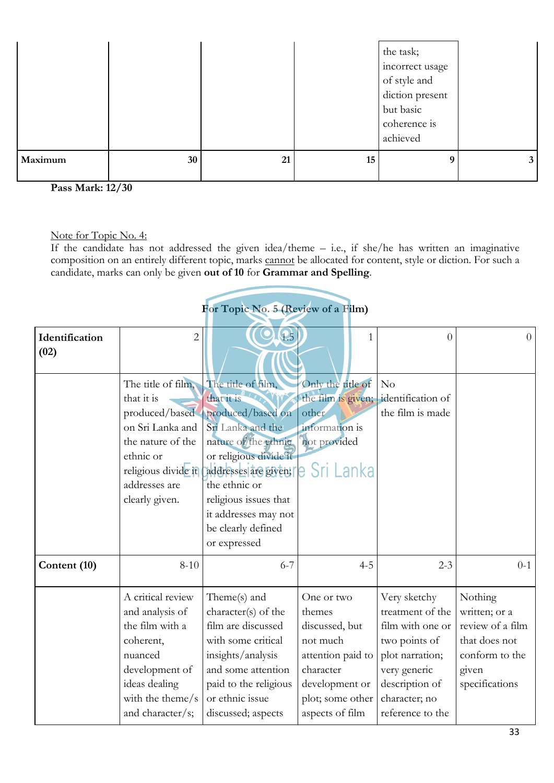|         |    |    |    | the task;<br>incorrect usage<br>of style and<br>diction present<br>but basic<br>coherence is<br>achieved |  |
|---------|----|----|----|----------------------------------------------------------------------------------------------------------|--|
| Maximum | 30 | 21 | 15 | 9                                                                                                        |  |

**Pass Mark: 12/30** 

Note for Topic No. 4:

If the candidate has not addressed the given idea/theme – i.e., if she/he has written an imaginative composition on an entirely different topic, marks cannot be allocated for content, style or diction. For such a candidate, marks can only be given **out of 10** for **Grammar and Spelling**.

# **For Topic No. 5 (Review of a Film)**

| Identification<br>(02) | $\overline{c}$                                                                                                                                                     |                                                                                                                                                                                                                                                              | 1                                                                                                                          | $\theta$                                                                                                                                    | $\Omega$                                                                                                   |
|------------------------|--------------------------------------------------------------------------------------------------------------------------------------------------------------------|--------------------------------------------------------------------------------------------------------------------------------------------------------------------------------------------------------------------------------------------------------------|----------------------------------------------------------------------------------------------------------------------------|---------------------------------------------------------------------------------------------------------------------------------------------|------------------------------------------------------------------------------------------------------------|
|                        | The title of film,<br>that it is<br>produced/based<br>on Sri Lanka and<br>the nature of the<br>ethnic or<br>religious divide it<br>addresses are<br>clearly given. | The title of film,<br>that it is<br>produced/based on<br>Sri Lanka and the<br>nature of the ethnic<br>or religious divíde it<br>addresses are given;<br>the ethnic or<br>religious issues that<br>it addresses may not<br>be clearly defined<br>or expressed | Only the title of<br>the film is given;<br>other<br>information is<br>not provided<br>e Sri Lanka                          | N <sub>o</sub><br>identification of<br>the film is made                                                                                     |                                                                                                            |
| Content (10)           | $8 - 10$                                                                                                                                                           | $6 - 7$                                                                                                                                                                                                                                                      | $4 - 5$                                                                                                                    | $2 - 3$                                                                                                                                     | $0 - 1$                                                                                                    |
|                        | A critical review<br>and analysis of<br>the film with a<br>coherent,<br>nuanced<br>development of<br>ideas dealing<br>with the theme/s                             | Theme(s) and<br>character(s) of the<br>film are discussed<br>with some critical<br>insights/analysis<br>and some attention<br>paid to the religious<br>or ethnic issue                                                                                       | One or two<br>themes<br>discussed, but<br>not much<br>attention paid to<br>character<br>development or<br>plot; some other | Very sketchy<br>treatment of the<br>film with one or<br>two points of<br>plot narration;<br>very generic<br>description of<br>character; no | Nothing<br>written; or a<br>review of a film<br>that does not<br>conform to the<br>given<br>specifications |
|                        | and character/s;                                                                                                                                                   | discussed; aspects                                                                                                                                                                                                                                           | aspects of film                                                                                                            | reference to the                                                                                                                            |                                                                                                            |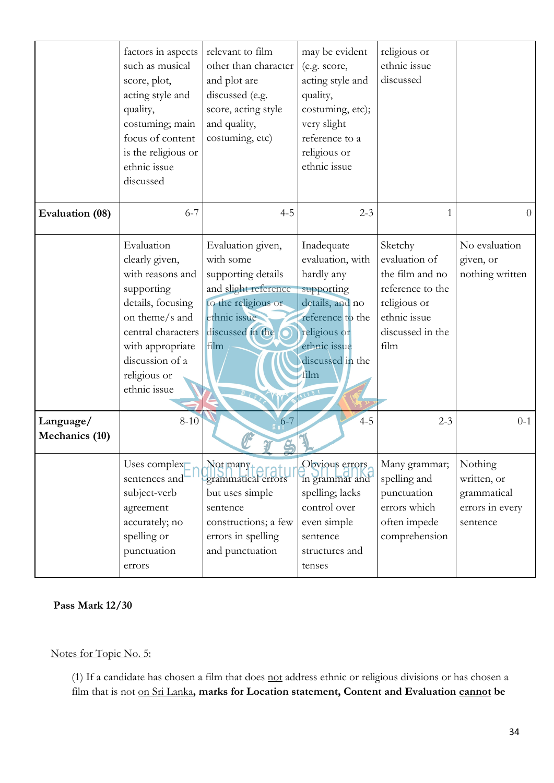|                             | factors in aspects<br>such as musical<br>score, plot,<br>acting style and<br>quality,<br>costuming; main<br>focus of content<br>is the religious or<br>ethnic issue<br>discussed                   | relevant to film<br>other than character<br>and plot are<br>discussed (e.g.<br>score, acting style<br>and quality,<br>costuming, etc)                | may be evident<br>(e.g. score,<br>acting style and<br>quality,<br>costuming, etc);<br>very slight<br>reference to a<br>religious or<br>ethnic issue                    | religious or<br>ethnic issue<br>discussed                                                                                   |                                                                      |
|-----------------------------|----------------------------------------------------------------------------------------------------------------------------------------------------------------------------------------------------|------------------------------------------------------------------------------------------------------------------------------------------------------|------------------------------------------------------------------------------------------------------------------------------------------------------------------------|-----------------------------------------------------------------------------------------------------------------------------|----------------------------------------------------------------------|
| Evaluation (08)             | $6 - 7$                                                                                                                                                                                            | $4 - 5$                                                                                                                                              | $2 - 3$                                                                                                                                                                | 1                                                                                                                           | $\overline{0}$                                                       |
|                             | Evaluation<br>clearly given,<br>with reasons and<br>supporting<br>details, focusing<br>on theme/s and<br>central characters<br>with appropriate<br>discussion of a<br>religious or<br>ethnic issue | Evaluation given,<br>with some<br>supporting details<br>and slight reference<br>to the religious or<br>ethnic issue<br>discussed in the O<br>film    | Inadequate<br>evaluation, with<br>hardly any<br>supporting<br>details, and no<br>reference to the<br>religious or<br>ethnic issue<br>discussed in the<br>film<br>BLEDE | Sketchy<br>evaluation of<br>the film and no<br>reference to the<br>religious or<br>ethnic issue<br>discussed in the<br>film | No evaluation<br>given, or<br>nothing written                        |
| Language/<br>Mechanics (10) | $8 - 10$                                                                                                                                                                                           | $6 - 7$                                                                                                                                              | $4 - 5$                                                                                                                                                                | $2 - 3$                                                                                                                     | $0 - 1$                                                              |
|                             | Uses complex<br>sentences and<br>subject-verb<br>agreement<br>accurately; no<br>spelling or<br>punctuation<br>errors                                                                               | $\text{Not}$ many <sub>+</sub><br>grammatical errors<br>but uses simple<br>sentence<br>constructions; a few<br>errors in spelling<br>and punctuation | Obvious errors<br>in grammar and<br>spelling; lacks<br>control over<br>even simple<br>sentence<br>structures and<br>tenses                                             | Many grammar;<br>spelling and<br>punctuation<br>errors which<br>often impede<br>comprehension                               | Nothing<br>written, or<br>grammatical<br>errors in every<br>sentence |

**Pass Mark 12/30**

## Notes for Topic No. 5:

(1) If a candidate has chosen a film that does not address ethnic or religious divisions or has chosen a film that is not on Sri Lanka**, marks for Location statement, Content and Evaluation cannot be**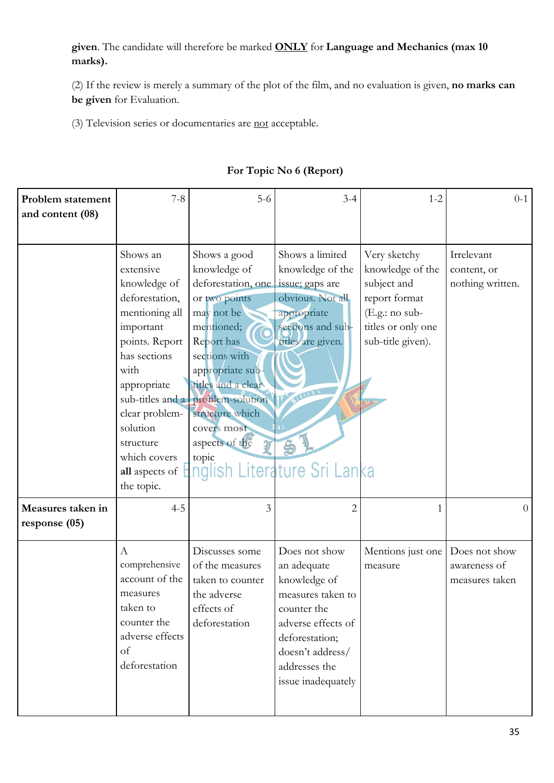**given**. The candidate will therefore be marked **ONLY** for **Language and Mechanics (max 10 marks).** 

(2) If the review is merely a summary of the plot of the film, and no evaluation is given, **no marks can be given** for Evaluation.

(3) Television series or documentaries are not acceptable.

| Problem statement<br>and content (08) | $7 - 8$                                                                                                                                                                                                                                    | $5-6$                                                                                                                                                                                                                                                                                      | $3 - 4$                                                                                                                                                                             | $1 - 2$                                                                                                                       | $0 - 1$                                         |
|---------------------------------------|--------------------------------------------------------------------------------------------------------------------------------------------------------------------------------------------------------------------------------------------|--------------------------------------------------------------------------------------------------------------------------------------------------------------------------------------------------------------------------------------------------------------------------------------------|-------------------------------------------------------------------------------------------------------------------------------------------------------------------------------------|-------------------------------------------------------------------------------------------------------------------------------|-------------------------------------------------|
|                                       | Shows an<br>extensive<br>knowledge of<br>deforestation,<br>mentioning all<br>important<br>points. Report<br>has sections<br>with<br>appropriate<br>clear problem-<br>solution<br>structure<br>which covers<br>all aspects of<br>the topic. | Shows a good<br>knowledge of<br>deforestation, one issue; gaps are<br>or two points<br>may not be<br>mentioned;<br>Report has<br>sections with<br>appropriate sub-<br>titles and a clear<br>sub-titles and a problem-solution<br>structure which<br>covers most<br>aspects of the<br>topic | Shows a limited<br>knowledge of the<br>obvious. Not all<br>appropriate<br>sections and sub-<br>titles are given.<br>nglish Literature Sri Lanka                                     | Very sketchy<br>knowledge of the<br>subject and<br>report format<br>(E.g.: no sub-<br>titles or only one<br>sub-title given). | Irrelevant<br>content, or<br>nothing written.   |
| Measures taken in<br>response $(05)$  | $4 - 5$                                                                                                                                                                                                                                    | 3                                                                                                                                                                                                                                                                                          | $\overline{2}$                                                                                                                                                                      | 1                                                                                                                             | $\overline{0}$                                  |
|                                       | $\boldsymbol{A}$<br>comprehensive<br>account of the<br>measures<br>taken to<br>counter the<br>adverse effects<br>of<br>deforestation                                                                                                       | Discusses some<br>of the measures<br>taken to counter<br>the adverse<br>effects of<br>deforestation                                                                                                                                                                                        | Does not show<br>an adequate<br>knowledge of<br>measures taken to<br>counter the<br>adverse effects of<br>deforestation;<br>doesn't address/<br>addresses the<br>issue inadequately | Mentions just one<br>measure                                                                                                  | Does not show<br>awareness of<br>measures taken |

## **For Topic No 6 (Report)**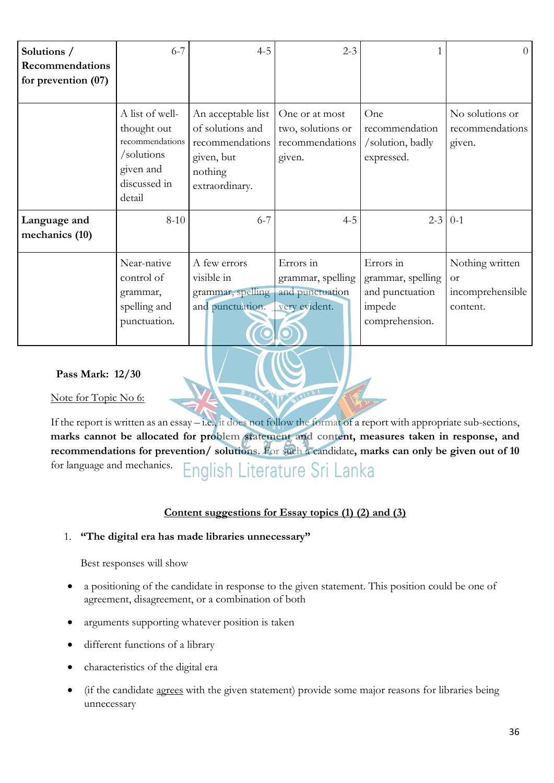| Solutions /<br><b>Recommendations</b><br>for prevention $(07)$ | $6 - 7$                                                                                                | $4 - 5$                                                                                              | $2 - 3$                                                            |                                                                               | $\Omega$                                                     |
|----------------------------------------------------------------|--------------------------------------------------------------------------------------------------------|------------------------------------------------------------------------------------------------------|--------------------------------------------------------------------|-------------------------------------------------------------------------------|--------------------------------------------------------------|
|                                                                | A list of well-<br>thought out<br>recommendations<br>/solutions<br>given and<br>discussed in<br>detail | An acceptable list<br>of solutions and<br>recommendations<br>given, but<br>nothing<br>extraordinary. | One or at most<br>two, solutions or<br>recommendations<br>given.   | One<br>recommendation<br>/solution, badly<br>expressed.                       | No solutions or<br>recommendations<br>given.                 |
| Language and<br>mechanics (10)                                 | $8 - 10$                                                                                               | $6 - 7$                                                                                              | $4 - 5$                                                            | $2 - 3$                                                                       | $0-1$                                                        |
|                                                                | Near-native<br>control of<br>grammar,<br>spelling and<br>punctuation.                                  | A few errors<br>visible in<br>grammar, spelling<br>and punctuation.                                  | Errors in<br>grammar, spelling<br>and punctuation<br>very evident. | Errors in<br>grammar, spelling<br>and punctuation<br>impede<br>comprehension. | Nothing written<br><b>or</b><br>incomprehensible<br>content. |

#### **Pass Mark: 12/30**

Note for Topic No 6:

If the report is written as an essay – i.e., it does not follow the format of a report with appropriate sub-sections, **marks cannot be allocated for problem statement and content, measures taken in response, and recommendations for prevention/ solutions.** For such a candidate**, marks can only be given out of 10** for language and mechanics. English Literature Sri Lanka

#### **Content suggestions for Essay topics (1) (2) and (3)**

#### 1. **"The digital era has made libraries unnecessary"**

Best responses will show

- a positioning of the candidate in response to the given statement. This position could be one of agreement, disagreement, or a combination of both
- arguments supporting whatever position is taken
- different functions of a library
- characteristics of the digital era
- (if the candidate agrees with the given statement) provide some major reasons for libraries being unnecessary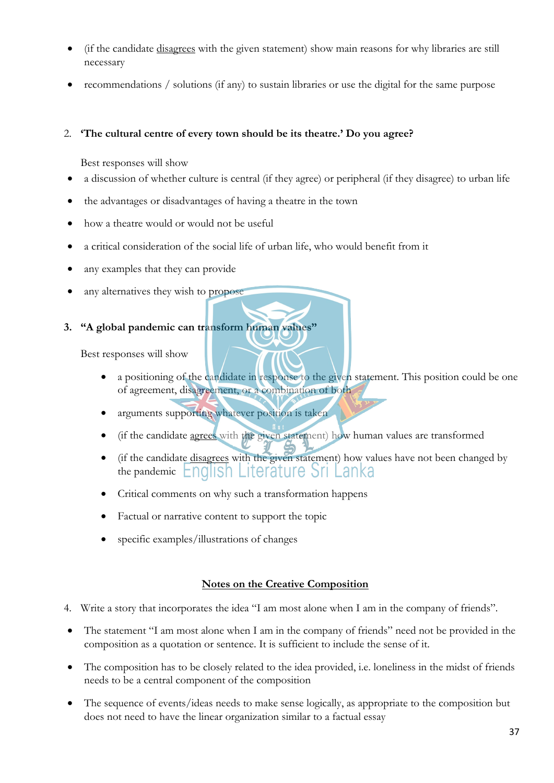- (if the candidate disagrees with the given statement) show main reasons for why libraries are still necessary
- recommendations / solutions (if any) to sustain libraries or use the digital for the same purpose

## 2. **'The cultural centre of every town should be its theatre.' Do you agree?**

Best responses will show

- a discussion of whether culture is central (if they agree) or peripheral (if they disagree) to urban life
- the advantages or disadvantages of having a theatre in the town
- how a theatre would or would not be useful
- a critical consideration of the social life of urban life, who would benefit from it
- any examples that they can provide
- any alternatives they wish to propose

## **3. "A global pandemic can transform human values"**

Best responses will show

- a positioning of the candidate in response to the given statement. This position could be one of agreement, disagreement, or a combination of both
- arguments supporting whatever position is taken
- (if the candidate agrees with the given statement) how human values are transformed
- (if the candidate disagrees with the given statement) how values have not been changed by the pandemic **English Literature** Sri Lanka
- Critical comments on why such a transformation happens
- Factual or narrative content to support the topic
- specific examples/illustrations of changes

#### **Notes on the Creative Composition**

- 4. Write a story that incorporates the idea "I am most alone when I am in the company of friends".
- The statement "I am most alone when I am in the company of friends" need not be provided in the composition as a quotation or sentence. It is sufficient to include the sense of it.
- The composition has to be closely related to the idea provided, i.e. loneliness in the midst of friends needs to be a central component of the composition
- The sequence of events/ideas needs to make sense logically, as appropriate to the composition but does not need to have the linear organization similar to a factual essay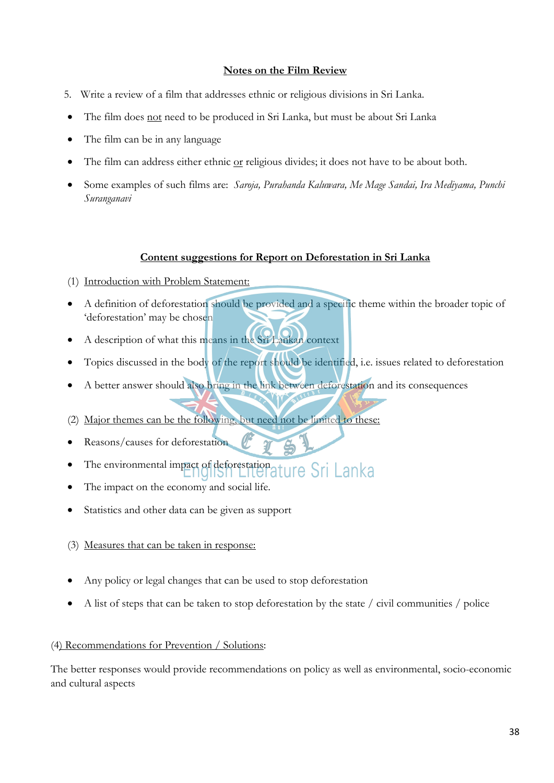#### **Notes on the Film Review**

- 5. Write a review of a film that addresses ethnic or religious divisions in Sri Lanka.
- The film does not need to be produced in Sri Lanka, but must be about Sri Lanka
- The film can be in any language
- The film can address either ethnic or religious divides; it does not have to be about both.
- Some examples of such films are: *Saroja, Purahanda Kaluwara, Me Mage Sandai, Ira Mediyama, Punchi Suranganavi*

#### **Content suggestions for Report on Deforestation in Sri Lanka**

- (1) Introduction with Problem Statement:
- A definition of deforestation should be provided and a specific theme within the broader topic of 'deforestation' may be chosen
- A description of what this means in the Sri Lankan context
- Topics discussed in the body of the report should be identified, i.e. issues related to deforestation
- A better answer should also bring in the link between deforestation and its consequences
- (2) Major themes can be the following, but need not be limited to these:
- Reasons/causes for deforestation
- The environmental impact of deforestation at ure Sri Lanka
- The impact on the economy and social life.
- Statistics and other data can be given as support
- (3) Measures that can be taken in response:
- Any policy or legal changes that can be used to stop deforestation
- A list of steps that can be taken to stop deforestation by the state / civil communities / police

#### (4) Recommendations for Prevention / Solutions:

The better responses would provide recommendations on policy as well as environmental, socio-economic and cultural aspects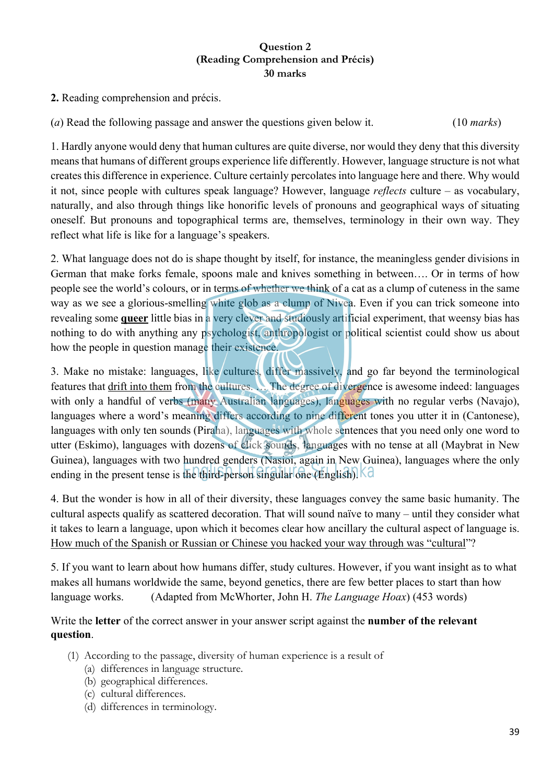## **Question 2 (Reading Comprehension and Précis) 30 marks**

**2.** Reading comprehension and précis.

(*a*) Read the following passage and answer the questions given below it. (10 *marks*)

1. Hardly anyone would deny that human cultures are quite diverse, nor would they deny that this diversity means that humans of different groups experience life differently. However, language structure is not what creates this difference in experience. Culture certainly percolates into language here and there. Why would it not, since people with cultures speak language? However, language *reflects* culture – as vocabulary, naturally, and also through things like honorific levels of pronouns and geographical ways of situating oneself. But pronouns and topographical terms are, themselves, terminology in their own way. They reflect what life is like for a language's speakers.

2. What language does not do is shape thought by itself, for instance, the meaningless gender divisions in German that make forks female, spoons male and knives something in between…. Or in terms of how people see the world's colours, or in terms of whether we think of a cat as a clump of cuteness in the same way as we see a glorious-smelling white glob as a clump of Nivea. Even if you can trick someone into revealing some **queer** little bias in a very clever and studiously artificial experiment, that weensy bias has nothing to do with anything any psychologist, anthropologist or political scientist could show us about how the people in question manage their existence.

3. Make no mistake: languages, like cultures, differ massively, and go far beyond the terminological features that drift into them from the cultures. … The degree of divergence is awesome indeed: languages with only a handful of verbs (many Australian languages), languages with no regular verbs (Navajo), languages where a word's meaning differs according to nine different tones you utter it in (Cantonese), languages with only ten sounds (Piraha), languages with whole sentences that you need only one word to utter (Eskimo), languages with dozens of click sounds, languages with no tense at all (Maybrat in New Guinea), languages with two hundred genders (Nasioi, again in New Guinea), languages where the only ending in the present tense is the third-person singular one (English). Kd

4. But the wonder is how in all of their diversity, these languages convey the same basic humanity. The cultural aspects qualify as scattered decoration. That will sound naïve to many – until they consider what it takes to learn a language, upon which it becomes clear how ancillary the cultural aspect of language is. How much of the Spanish or Russian or Chinese you hacked your way through was "cultural"?

5. If you want to learn about how humans differ, study cultures. However, if you want insight as to what makes all humans worldwide the same, beyond genetics, there are few better places to start than how language works. (Adapted from McWhorter, John H. *The Language Hoax*) (453 words)

## Write the **letter** of the correct answer in your answer script against the **number of the relevant question**.

- (1) According to the passage, diversity of human experience is a result of
	- (a) differences in language structure.
	- (b) geographical differences.
	- (c) cultural differences.
	- (d) differences in terminology.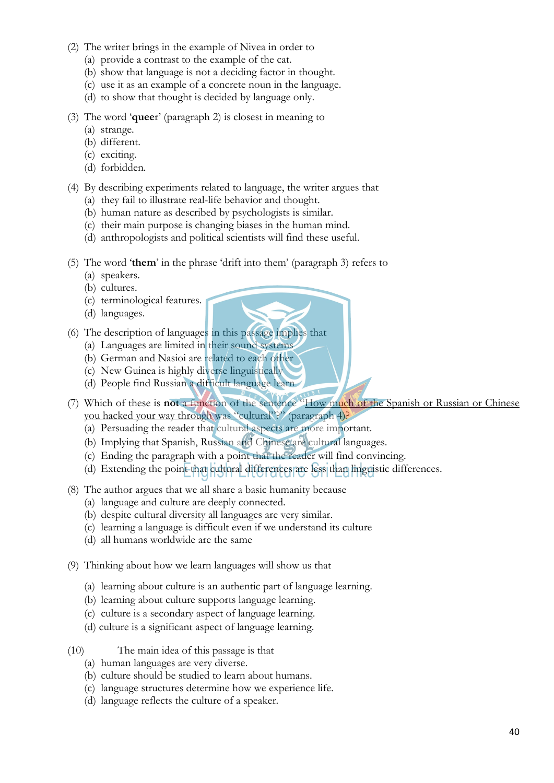- (2) The writer brings in the example of Nivea in order to
	- (a) provide a contrast to the example of the cat.
	- (b) show that language is not a deciding factor in thought.
	- (c) use it as an example of a concrete noun in the language.
	- (d) to show that thought is decided by language only.
- (3) The word '**quee**r' (paragraph 2) is closest in meaning to
	- (a) strange.
	- (b) different.
	- (c) exciting.
	- (d) forbidden.
- (4) By describing experiments related to language, the writer argues that
	- (a) they fail to illustrate real-life behavior and thought.
	- (b) human nature as described by psychologists is similar.
	- (c) their main purpose is changing biases in the human mind.
	- (d) anthropologists and political scientists will find these useful.
- (5) The word '**them**' in the phrase 'drift into them' (paragraph 3) refers to
	- (a) speakers.
	- (b) cultures.
	- (c) terminological features.
	- (d) languages.
- (6) The description of languages in this passage implies that
	- (a) Languages are limited in their sound systems
	- (b) German and Nasioi are related to each other
	- (c) New Guinea is highly diverse linguistically
	- (d) People find Russian a difficult language learn
- (7) Which of these is **not** a function of the sentence "How much of the Spanish or Russian or Chinese you hacked your way through was "cultural"?" (paragraph 4)?
	- (a) Persuading the reader that cultural aspects are more important.
	- (b) Implying that Spanish, Russian and Chinese are cultural languages.
	- (c) Ending the paragraph with a point that the reader will find convincing.
	- (d) Extending the point that cultural differences are less than linguistic differences.
- (8) The author argues that we all share a basic humanity because
	- (a) language and culture are deeply connected.
	- (b) despite cultural diversity all languages are very similar.
	- (c) learning a language is difficult even if we understand its culture
	- (d) all humans worldwide are the same
- (9) Thinking about how we learn languages will show us that
	- (a) learning about culture is an authentic part of language learning.
	- (b) learning about culture supports language learning.
	- (c) culture is a secondary aspect of language learning.
	- (d) culture is a significant aspect of language learning.
- (10) The main idea of this passage is that
	- (a) human languages are very diverse.
	- (b) culture should be studied to learn about humans.
	- (c) language structures determine how we experience life.
	- (d) language reflects the culture of a speaker.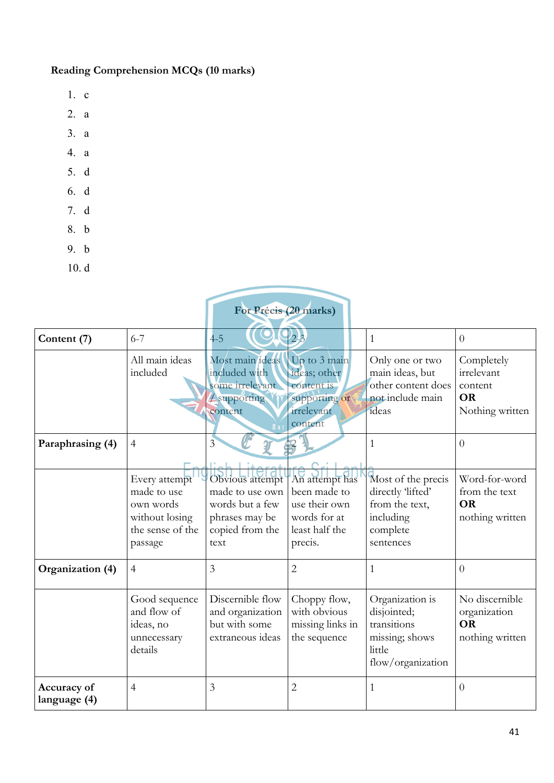# **Reading Comprehension MCQs (10 marks)**

- 1. c
- 2. a
- 3. a
- 4. a
- 5. d
- 6. d
- 7. d
- 8. b
- 9. b
- 10. d

| For Précis (20 marks)       |                                                                                            |                                                                                                    |                                                                                              |                                                                                                 |                                                                     |  |
|-----------------------------|--------------------------------------------------------------------------------------------|----------------------------------------------------------------------------------------------------|----------------------------------------------------------------------------------------------|-------------------------------------------------------------------------------------------------|---------------------------------------------------------------------|--|
| Content (7)                 | $6 - 7$                                                                                    | $4-5$                                                                                              | $2 - 3$                                                                                      | $\mathbf{1}$                                                                                    | $\theta$                                                            |  |
|                             | All main ideas<br>included                                                                 | Most main ideas<br>included with<br>some irrelevant<br><b>4</b> supporting<br>content              | Up to 3 main<br>ideas; other<br>content is<br>supporting or<br>irrelevant<br>content         | Only one or two<br>main ideas, but<br>other content does<br>not include main<br>ideas           | Completely<br>irrelevant<br>content<br><b>OR</b><br>Nothing written |  |
| Paraphrasing (4)            | $\overline{4}$                                                                             | $\overline{3}$                                                                                     |                                                                                              | $\mathbf{1}$                                                                                    | $\overline{0}$                                                      |  |
|                             | Every attempt<br>made to use<br>own words<br>without losing<br>the sense of the<br>passage | Obvious attempt<br>made to use own<br>words but a few<br>phrases may be<br>copied from the<br>text | An attempt has<br>been made to<br>use their own<br>words for at<br>least half the<br>precis. | Most of the precis<br>directly 'lifted'<br>from the text,<br>including<br>complete<br>sentences | Word-for-word<br>from the text<br><b>OR</b><br>nothing written      |  |
| Organization (4)            | $\overline{4}$                                                                             | $\mathfrak{Z}$                                                                                     | $\overline{2}$                                                                               | $\mathbf{1}$                                                                                    | $\overline{0}$                                                      |  |
|                             | Good sequence<br>and flow of<br>ideas, no<br>unnecessary<br>details                        | Discernible flow<br>and organization<br>but with some<br>extraneous ideas                          | Choppy flow,<br>with obvious<br>missing links in<br>the sequence                             | Organization is<br>disjointed;<br>transitions<br>missing; shows<br>little<br>flow/organization  | No discernible<br>organization<br><b>OR</b><br>nothing written      |  |
| Accuracy of<br>language (4) | $\overline{4}$                                                                             | 3                                                                                                  | $\overline{2}$                                                                               | $\mathbf{1}$                                                                                    | $\overline{0}$                                                      |  |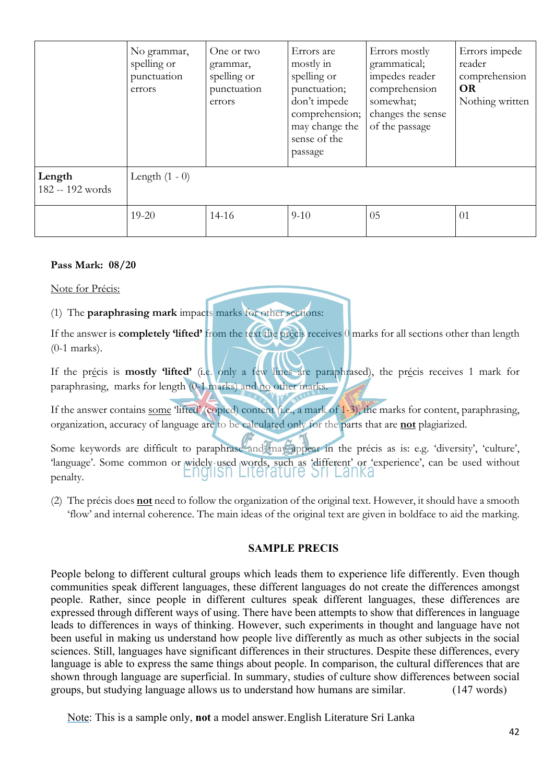|                            | No grammar,<br>spelling or<br>punctuation<br>errors | One or two<br>grammar,<br>spelling or<br>punctuation<br>errors | Errors are<br>mostly in<br>spelling or<br>punctuation;<br>don't impede<br>comprehension;<br>may change the<br>sense of the<br>passage | Errors mostly<br>grammatical;<br>impedes reader<br>comprehension<br>somewhat;<br>changes the sense<br>of the passage | Errors impede<br>reader<br>comprehension<br><b>OR</b><br>Nothing written |
|----------------------------|-----------------------------------------------------|----------------------------------------------------------------|---------------------------------------------------------------------------------------------------------------------------------------|----------------------------------------------------------------------------------------------------------------------|--------------------------------------------------------------------------|
| Length<br>182 -- 192 words | Length $(1 - 0)$                                    |                                                                |                                                                                                                                       |                                                                                                                      |                                                                          |
|                            | $19 - 20$                                           | $14 - 16$                                                      | $9 - 10$                                                                                                                              | 05                                                                                                                   | 01                                                                       |

#### **Pass Mark: 08/20**

Note for Précis:

(1) The **paraphrasing mark** impacts marks for other sections:

If the answer is **completely 'lifted'** from the text the précis receives 0 marks for all sections other than length (0-1 marks).

If the précis is **mostly 'lifted'** (i.e. only a few lines are paraphrased), the précis receives 1 mark for paraphrasing, marks for length (0-1 marks) and no other marks.

If the answer contains some 'lifted' (copied) content (i.e., a mark of 1-3), the marks for content, paraphrasing, organization, accuracy of language are to be calculated only for the parts that are **not** plagiarized.

Some keywords are difficult to paraphrase and may appear in the précis as is: e.g. 'diversity', 'culture', 'language'. Some common or widely used words, such as 'different' or 'experience', can be used without penalty.

(2) The précis does **not** need to follow the organization of the original text. However, it should have a smooth 'flow' and internal coherence. The main ideas of the original text are given in boldface to aid the marking.

#### **SAMPLE PRECIS**

People belong to different cultural groups which leads them to experience life differently. Even though communities speak different languages, these different languages do not create the differences amongst people. Rather, since people in different cultures speak different languages, these differences are expressed through different ways of using. There have been attempts to show that differences in language leads to differences in ways of thinking. However, such experiments in thought and language have not been useful in making us understand how people live differently as much as other subjects in the social sciences. Still, languages have significant differences in their structures. Despite these differences, every language is able to express the same things about people. In comparison, the cultural differences that are shown through language are superficial. In summary, studies of culture show differences between social groups, but studying language allows us to understand how humans are similar. (147 words)

Note: This is a sample only, **not** a model answer. English Literature Sri Lanka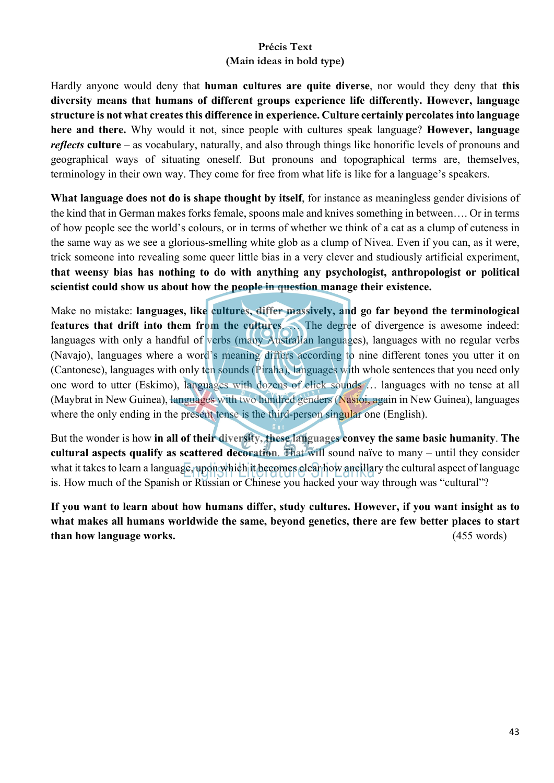## **Précis Text (Main ideas in bold type)**

Hardly anyone would deny that **human cultures are quite diverse**, nor would they deny that **this diversity means that humans of different groups experience life differently. However, language structure is not what creates this difference in experience. Culture certainly percolates into language here and there.** Why would it not, since people with cultures speak language? **However, language**  *reflects* **culture** – as vocabulary, naturally, and also through things like honorific levels of pronouns and geographical ways of situating oneself. But pronouns and topographical terms are, themselves, terminology in their own way. They come for free from what life is like for a language's speakers.

**What language does not do is shape thought by itself**, for instance as meaningless gender divisions of the kind that in German makes forks female, spoons male and knives something in between…. Or in terms of how people see the world's colours, or in terms of whether we think of a cat as a clump of cuteness in the same way as we see a glorious-smelling white glob as a clump of Nivea. Even if you can, as it were, trick someone into revealing some queer little bias in a very clever and studiously artificial experiment, **that weensy bias has nothing to do with anything any psychologist, anthropologist or political scientist could show us about how the people in question manage their existence.** 

Make no mistake: **languages, like cultures, differ massively, and go far beyond the terminological features that drift into them from the cultures**. … The degree of divergence is awesome indeed: languages with only a handful of verbs (many Australian languages), languages with no regular verbs (Navajo), languages where a word's meaning differs according to nine different tones you utter it on (Cantonese), languages with only ten sounds (Piraha), languages with whole sentences that you need only one word to utter (Eskimo), languages with dozens of click sounds … languages with no tense at all (Maybrat in New Guinea), languages with two hundred genders (Nasioi, again in New Guinea), languages where the only ending in the present tense is the third-person singular one (English).

But the wonder is how **in all of their diversity, these languages convey the same basic humanity**. **The cultural aspects qualify as scattered decoration**. That will sound naïve to many – until they consider what it takes to learn a language, upon which it becomes clear how ancillary the cultural aspect of language is. How much of the Spanish or Russian or Chinese you hacked your way through was "cultural"?

**If you want to learn about how humans differ, study cultures. However, if you want insight as to what makes all humans worldwide the same, beyond genetics, there are few better places to start than how language works.** (455 words)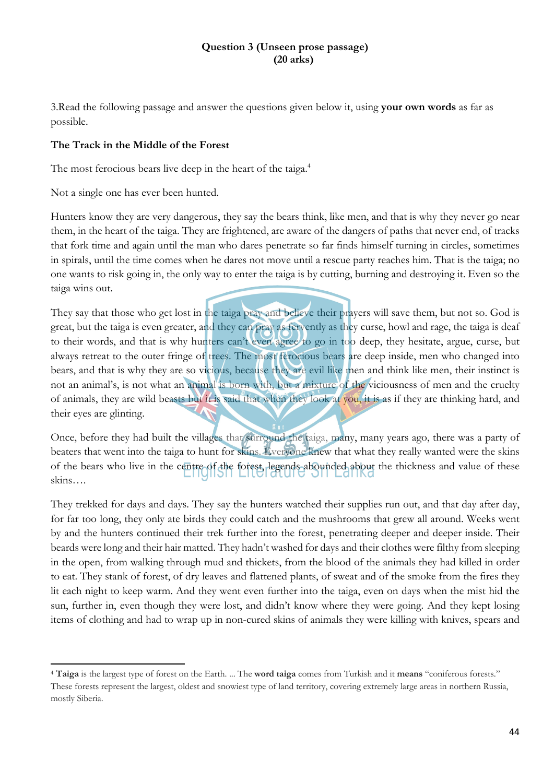#### **Question 3 (Unseen prose passage) (20 arks)**

3.Read the following passage and answer the questions given below it, using **your own words** as far as possible.

#### **The Track in the Middle of the Forest**

The most ferocious bears live deep in the heart of the taiga.<sup>4</sup>

Not a single one has ever been hunted.

Hunters know they are very dangerous, they say the bears think, like men, and that is why they never go near them, in the heart of the taiga. They are frightened, are aware of the dangers of paths that never end, of tracks that fork time and again until the man who dares penetrate so far finds himself turning in circles, sometimes in spirals, until the time comes when he dares not move until a rescue party reaches him. That is the taiga; no one wants to risk going in, the only way to enter the taiga is by cutting, burning and destroying it. Even so the taiga wins out.

They say that those who get lost in the taiga pray and believe their prayers will save them, but not so. God is great, but the taiga is even greater, and they can pray as fervently as they curse, howl and rage, the taiga is deaf to their words, and that is why hunters can't even agree to go in too deep, they hesitate, argue, curse, but always retreat to the outer fringe of trees. The most ferocious bears are deep inside, men who changed into bears, and that is why they are so vicious, because they are evil like men and think like men, their instinct is not an animal's, is not what an animal is born with, but a mixture of the viciousness of men and the cruelty of animals, they are wild beasts but it is said that when they look at you, it is as if they are thinking hard, and their eyes are glinting.

Once, before they had built the villages that surround the taiga, many, many years ago, there was a party of beaters that went into the taiga to hunt for skins. Everyone knew that what they really wanted were the skins of the bears who live in the centre of the forest, legends abounded about the thickness and value of these skins….

They trekked for days and days. They say the hunters watched their supplies run out, and that day after day, for far too long, they only ate birds they could catch and the mushrooms that grew all around. Weeks went by and the hunters continued their trek further into the forest, penetrating deeper and deeper inside. Their beards were long and their hair matted. They hadn't washed for days and their clothes were filthy from sleeping in the open, from walking through mud and thickets, from the blood of the animals they had killed in order to eat. They stank of forest, of dry leaves and flattened plants, of sweat and of the smoke from the fires they lit each night to keep warm. And they went even further into the taiga, even on days when the mist hid the sun, further in, even though they were lost, and didn't know where they were going. And they kept losing items of clothing and had to wrap up in non-cured skins of animals they were killing with knives, spears and

<sup>4</sup> **Taiga** is the largest type of forest on the Earth. ... The **word taiga** comes from Turkish and it **means** "coniferous forests." These forests represent the largest, oldest and snowiest type of land territory, covering extremely large areas in northern Russia, mostly Siberia.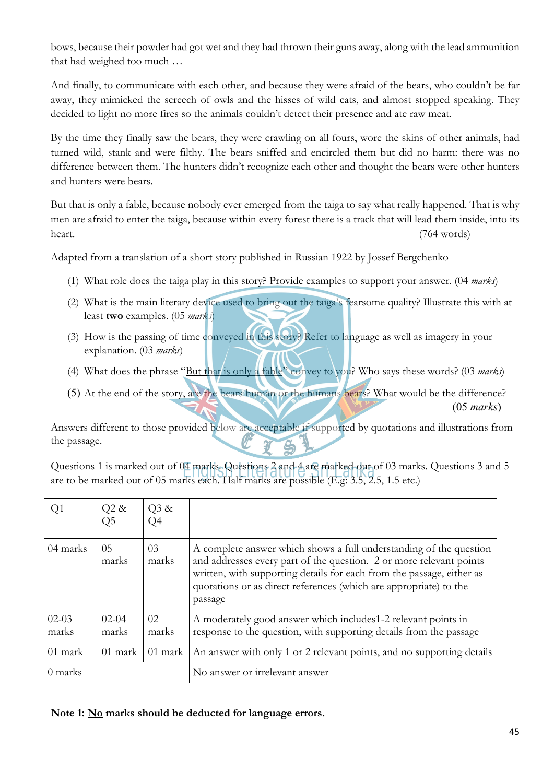bows, because their powder had got wet and they had thrown their guns away, along with the lead ammunition that had weighed too much …

And finally, to communicate with each other, and because they were afraid of the bears, who couldn't be far away, they mimicked the screech of owls and the hisses of wild cats, and almost stopped speaking. They decided to light no more fires so the animals couldn't detect their presence and ate raw meat.

By the time they finally saw the bears, they were crawling on all fours, wore the skins of other animals, had turned wild, stank and were filthy. The bears sniffed and encircled them but did no harm: there was no difference between them. The hunters didn't recognize each other and thought the bears were other hunters and hunters were bears.

But that is only a fable, because nobody ever emerged from the taiga to say what really happened. That is why men are afraid to enter the taiga, because within every forest there is a track that will lead them inside, into its heart. (764 words)

Adapted from a translation of a short story published in Russian 1922 by Jossef Bergchenko

- (1) What role does the taiga play in this story? Provide examples to support your answer. (04 *marks*)
- (2) What is the main literary device used to bring out the taiga's fearsome quality? Illustrate this with at least **two** examples. (05 *marks*)
- (3) How is the passing of time conveyed in this story? Refer to language as well as imagery in your explanation. (03 *marks*)
- (4) What does the phrase "But that is only a fable" convey to you? Who says these words? (03 *marks*)
- (5) At the end of the story, are the bears human or the humans bears? What would be the difference? (05 *marks*)

Answers different to those provided below are acceptable if supported by quotations and illustrations from the passage.

Questions 1 is marked out of 04 marks. Questions 2 and 4 are marked out of 03 marks. Questions 3 and 5 are to be marked out of 05 marks each. Half marks are possible (E.g: 3.5, 2.5, 1.5 etc.)

| Q1               | $Q2 \&$<br>Q5    | Q3 &<br>Q4  |                                                                                                                                                                                                                                                                                                    |
|------------------|------------------|-------------|----------------------------------------------------------------------------------------------------------------------------------------------------------------------------------------------------------------------------------------------------------------------------------------------------|
| 04 marks         | 05<br>marks      | 03<br>marks | A complete answer which shows a full understanding of the question<br>and addresses every part of the question. 2 or more relevant points<br>written, with supporting details for each from the passage, either as<br>quotations or as direct references (which are appropriate) to the<br>passage |
| $02-03$<br>marks | $02-04$<br>marks | 02<br>marks | A moderately good answer which includes 1-2 relevant points in<br>response to the question, with supporting details from the passage                                                                                                                                                               |
| 01 mark          | 01 mark          | 01 mark     | An answer with only 1 or 2 relevant points, and no supporting details                                                                                                                                                                                                                              |
| 0 marks          |                  |             | No answer or irrelevant answer                                                                                                                                                                                                                                                                     |

**Note 1: No marks should be deducted for language errors.**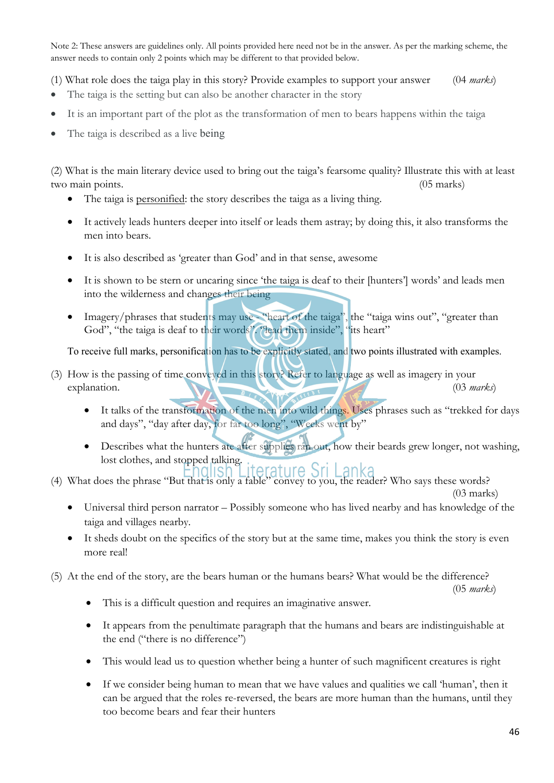Note 2: These answers are guidelines only. All points provided here need not be in the answer. As per the marking scheme, the answer needs to contain only 2 points which may be different to that provided below.

(1) What role does the taiga play in this story? Provide examples to support your answer (04 *marks*)

- The taiga is the setting but can also be another character in the story
- It is an important part of the plot as the transformation of men to bears happens within the taiga
- The taiga is described as a live being

(2) What is the main literary device used to bring out the taiga's fearsome quality? Illustrate this with at least two main points. (05 marks)

- The taiga is personified: the story describes the taiga as a living thing.
- It actively leads hunters deeper into itself or leads them astray; by doing this, it also transforms the men into bears.
- It is also described as 'greater than God' and in that sense, awesome
- It is shown to be stern or uncaring since 'the taiga is deaf to their [hunters'] words' and leads men into the wilderness and changes their being
- Imagery/phrases that students may use "heart of the taiga", the "taiga wins out", "greater than God", "the taiga is deaf to their words". "lead them inside", "its heart"

To receive full marks, personification has to be explicitly stated, and two points illustrated with examples.

- (3) How is the passing of time conveyed in this story? Refer to language as well as imagery in your explanation. (03 *marks*) (03 *marks*)
	- It talks of the transformation of the men into wild things. Uses phrases such as "trekked for days and days", "day after day, for far too long", "Weeks went by"
	- Describes what the hunters ate after supplies ran out, how their beards grew longer, not washing, lost clothes, and stopped talking.
- (4) What does the phrase "But that is only a fable" convey to you, the reader? Who says these words? (03 marks)
	- Universal third person narrator Possibly someone who has lived nearby and has knowledge of the taiga and villages nearby.
	- It sheds doubt on the specifics of the story but at the same time, makes you think the story is even more real!

(5) At the end of the story, are the bears human or the humans bears? What would be the difference?

(05 *marks*)

- This is a difficult question and requires an imaginative answer.
- It appears from the penultimate paragraph that the humans and bears are indistinguishable at the end ("there is no difference")
- This would lead us to question whether being a hunter of such magnificent creatures is right
- If we consider being human to mean that we have values and qualities we call 'human', then it can be argued that the roles re-reversed, the bears are more human than the humans, until they too become bears and fear their hunters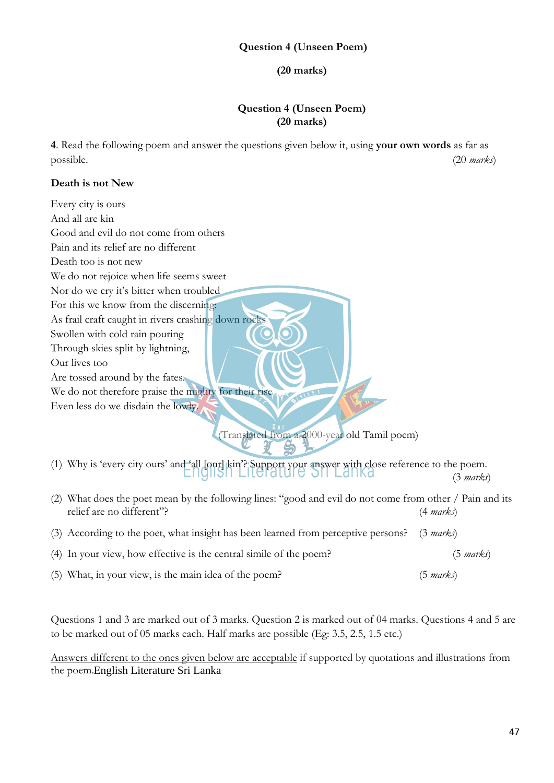**(20 marks)**

#### **Question 4 (Unseen Poem) (20 marks)**

**4**. Read the following poem and answer the questions given below it, using **your own words** as far as possible. (20 *marks*)

#### **Death is not New**

| Every city is ours                                                                                                                                                  |                     |
|---------------------------------------------------------------------------------------------------------------------------------------------------------------------|---------------------|
| And all are kin                                                                                                                                                     |                     |
| Good and evil do not come from others                                                                                                                               |                     |
| Pain and its relief are no different                                                                                                                                |                     |
| Death too is not new                                                                                                                                                |                     |
| We do not rejoice when life seems sweet                                                                                                                             |                     |
| Nor do we cry it's bitter when troubled                                                                                                                             |                     |
| For this we know from the discerning:<br>As frail craft caught in rivers crashing down rocks<br>Swollen with cold rain pouring<br>Through skies split by lightning, |                     |
| Our lives too                                                                                                                                                       |                     |
| Are tossed around by the fates.                                                                                                                                     |                     |
| We do not therefore praise the mighty for their rise                                                                                                                |                     |
| Even less do we disdain the lowly.<br>(Translated from a 2000-year old Tamil poem)                                                                                  |                     |
| (1) Why is 'every city ours' and 'all [our] kin'? Support your answer with close reference to the poem.                                                             | $(3 \text{ marks})$ |
| (2) What does the poet mean by the following lines: "good and evil do not come from other / Pain and its<br>relief are no different"?                               | $(4 \text{ marks})$ |
| (3) According to the poet, what insight has been learned from perceptive persons?                                                                                   | $(3 \text{ marks})$ |
| (4) In your view, how effective is the central simile of the poem?                                                                                                  | (5 marks)           |
| (5) What, in your view, is the main idea of the poem?                                                                                                               | $(5 \text{ marks})$ |

Questions 1 and 3 are marked out of 3 marks. Question 2 is marked out of 04 marks. Questions 4 and 5 are to be marked out of 05 marks each. Half marks are possible (Eg: 3.5, 2.5, 1.5 etc.)

Answers different to the ones given below are acceptable if supported by quotations and illustrations from the poem. English Literature Sri Lanka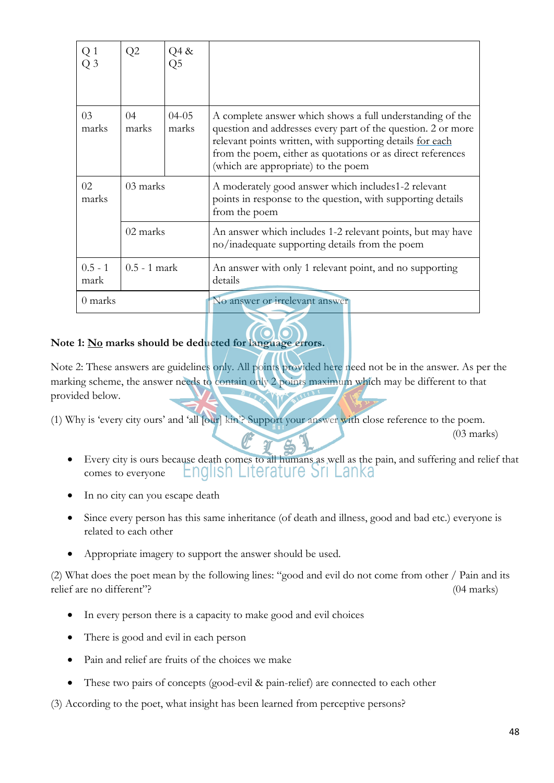|                   | Q2             | Q4 &               |                                                                                                                                                                                                                                                                                              |
|-------------------|----------------|--------------------|----------------------------------------------------------------------------------------------------------------------------------------------------------------------------------------------------------------------------------------------------------------------------------------------|
| 03<br>marks       | 04<br>marks    | $04 - 05$<br>marks | A complete answer which shows a full understanding of the<br>question and addresses every part of the question. 2 or more<br>relevant points written, with supporting details for each<br>from the poem, either as quotations or as direct references<br>(which are appropriate) to the poem |
| 02<br>marks       | 03 marks       |                    | A moderately good answer which includes1-2 relevant<br>points in response to the question, with supporting details<br>from the poem                                                                                                                                                          |
|                   | 02 marks       |                    | An answer which includes 1-2 relevant points, but may have<br>no/inadequate supporting details from the poem                                                                                                                                                                                 |
| $0.5 - 1$<br>mark | $0.5 - 1$ mark |                    | An answer with only 1 relevant point, and no supporting<br>details                                                                                                                                                                                                                           |
| 0 marks           |                |                    | No answer or irrelevant answer                                                                                                                                                                                                                                                               |

## **Note 1: No marks should be deducted for language errors.**

Note 2: These answers are guidelines only. All points provided here need not be in the answer. As per the marking scheme, the answer needs to contain only 2 points maximum which may be different to that provided below.

(1) Why is 'every city ours' and 'all [our] kin'? Support your answer with close reference to the poem.

(03 marks)

- Every city is ours because death comes to all humans as well as the pain, and suffering and relief that English Literature Sri Lanka comes to everyone
- In no city can you escape death
- Since every person has this same inheritance (of death and illness, good and bad etc.) everyone is related to each other
- Appropriate imagery to support the answer should be used.

(2) What does the poet mean by the following lines: "good and evil do not come from other / Pain and its relief are no different"? (04 marks)

- In every person there is a capacity to make good and evil choices
- There is good and evil in each person
- Pain and relief are fruits of the choices we make
- These two pairs of concepts (good-evil & pain-relief) are connected to each other

(3) According to the poet, what insight has been learned from perceptive persons?